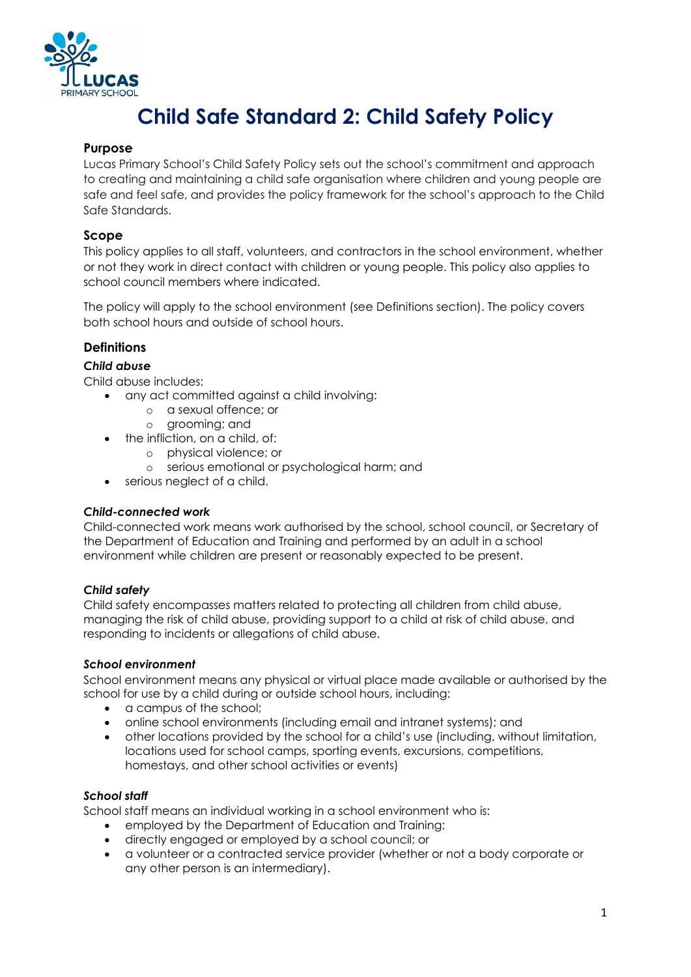

# **Child Safe Standard 2: Child Safety Policy**

#### **Purpose**

Lucas Primary School's Child Safety Policy sets out the school's commitment and approach to creating and maintaining a child safe organisation where children and young people are safe and feel safe, and provides the policy framework for the school's approach to the Child Safe Standards.

#### **Scope**

This policy applies to all staff, volunteers, and contractors in the school environment, whether or not they work in direct contact with children or young people. This policy also applies to school council members where indicated.

The policy will apply to the school environment (see Definitions section). The policy covers both school hours and outside of school hours.

## **Definitions**

## *Child abuse*

Child abuse includes:

- any act committed against a child involving:
	- o a sexual offence; or
	- o grooming; and
- the infliction, on a child, of:
	- o physical violence; or
	- o serious emotional or psychological harm; and
- serious neglect of a child.

#### *Child-connected work*

Child-connected work means work authorised by the school, school council, or Secretary of the Department of Education and Training and performed by an adult in a school environment while children are present or reasonably expected to be present.

#### *Child safety*

Child safety encompasses matters related to protecting all children from child abuse, managing the risk of child abuse, providing support to a child at risk of child abuse, and responding to incidents or allegations of child abuse.

#### *School environment*

School environment means any physical or virtual place made available or authorised by the school for use by a child during or outside school hours, including:

- a campus of the school;
- online school environments (including email and intranet systems); and
- other locations provided by the school for a child's use (including, without limitation, locations used for school camps, sporting events, excursions, competitions, homestays, and other school activities or events)

#### *School staff*

School staff means an individual working in a school environment who is:

- employed by the Department of Education and Training;
- directly engaged or employed by a school council; or
- a volunteer or a contracted service provider (whether or not a body corporate or any other person is an intermediary).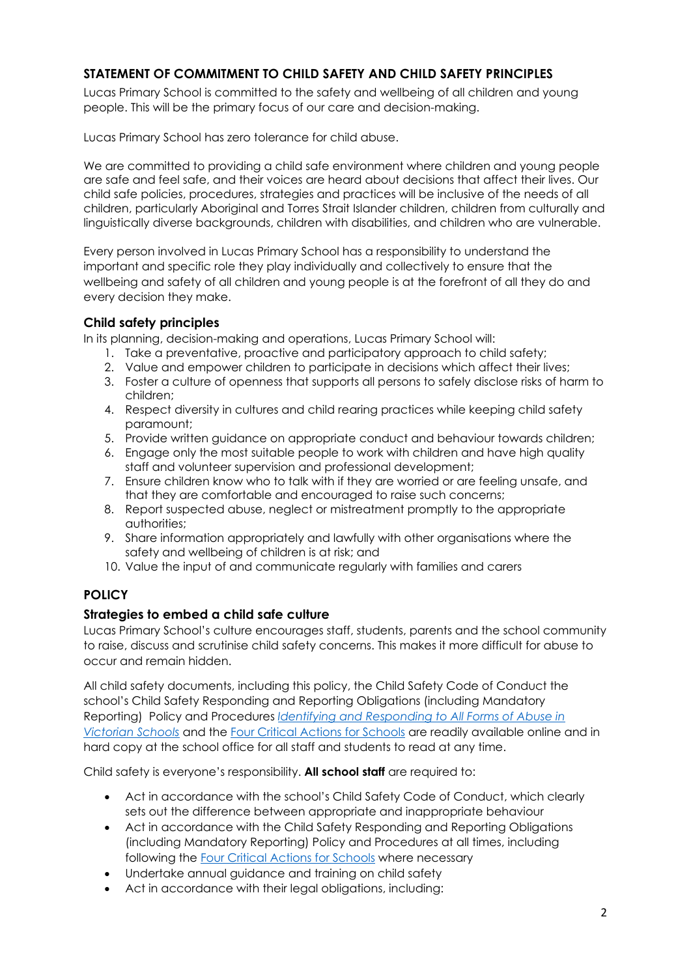# **STATEMENT OF COMMITMENT TO CHILD SAFETY AND CHILD SAFETY PRINCIPLES**

Lucas Primary School is committed to the safety and wellbeing of all children and young people. This will be the primary focus of our care and decision-making.

Lucas Primary School has zero tolerance for child abuse.

We are committed to providing a child safe environment where children and young people are safe and feel safe, and their voices are heard about decisions that affect their lives. Our child safe policies, procedures, strategies and practices will be inclusive of the needs of all children, particularly Aboriginal and Torres Strait Islander children, children from culturally and linguistically diverse backgrounds, children with disabilities, and children who are vulnerable.

Every person involved in Lucas Primary School has a responsibility to understand the important and specific role they play individually and collectively to ensure that the wellbeing and safety of all children and young people is at the forefront of all they do and every decision they make.

## **Child safety principles**

In its planning, decision-making and operations, Lucas Primary School will:

- 1. Take a preventative, proactive and participatory approach to child safety;
- 2. Value and empower children to participate in decisions which affect their lives;
- 3. Foster a culture of openness that supports all persons to safely disclose risks of harm to children;
- 4. Respect diversity in cultures and child rearing practices while keeping child safety paramount;
- 5. Provide written guidance on appropriate conduct and behaviour towards children;
- 6. Engage only the most suitable people to work with children and have high quality staff and volunteer supervision and professional development;
- 7. Ensure children know who to talk with if they are worried or are feeling unsafe, and that they are comfortable and encouraged to raise such concerns;
- 8. Report suspected abuse, neglect or mistreatment promptly to the appropriate authorities;
- 9. Share information appropriately and lawfully with other organisations where the safety and wellbeing of children is at risk; and
- 10. Value the input of and communicate regularly with families and carers

# **POLICY**

## **Strategies to embed a child safe culture**

Lucas Primary School's culture encourages staff, students, parents and the school community to raise, discuss and scrutinise child safety concerns. This makes it more difficult for abuse to occur and remain hidden.

All child safety documents, including this policy, the Child Safety Code of Conduct the school's Child Safety Responding and Reporting Obligations (including Mandatory Reporting) Policy and Procedures *Identifying and Responding to All Forms of Abuse in Victorian Schools* and the Four Critical Actions for Schools are readily available online and in hard copy at the school office for all staff and students to read at any time.

Child safety is everyone's responsibility. **All school staff** are required to:

- Act in accordance with the school's Child Safety Code of Conduct, which clearly sets out the difference between appropriate and inappropriate behaviour
- Act in accordance with the Child Safety Responding and Reporting Obligations (including Mandatory Reporting) Policy and Procedures at all times, including following the Four Critical Actions for Schools where necessary
- Undertake annual guidance and training on child safety
- Act in accordance with their legal obligations, including: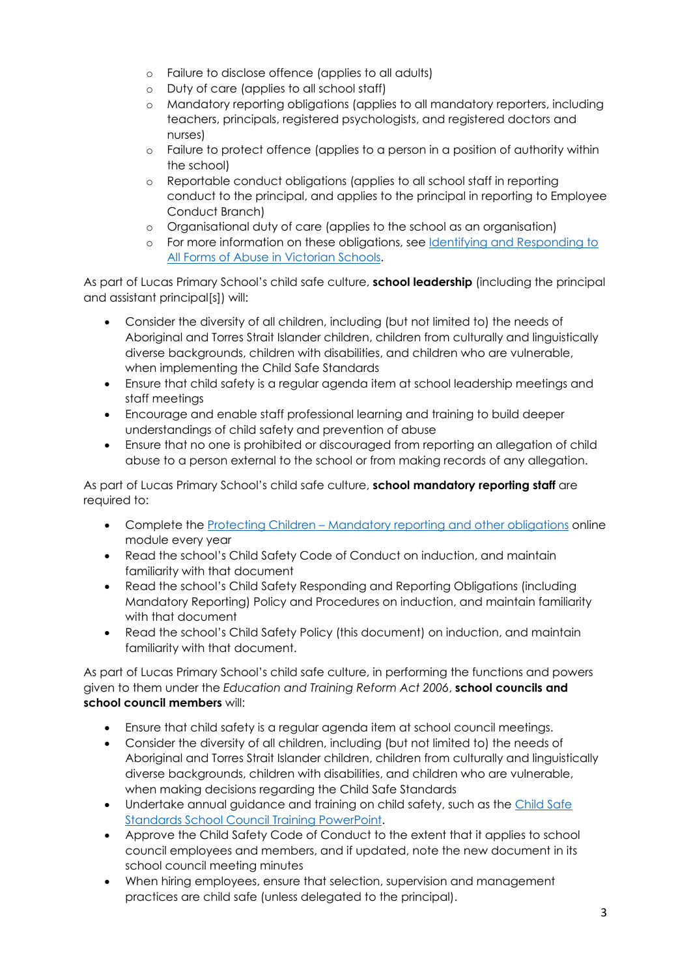- o Failure to disclose offence (applies to all adults)
- o Duty of care (applies to all school staff)
- o Mandatory reporting obligations (applies to all mandatory reporters, including teachers, principals, registered psychologists, and registered doctors and nurses)
- o Failure to protect offence (applies to a person in a position of authority within the school)
- o Reportable conduct obligations (applies to all school staff in reporting conduct to the principal, and applies to the principal in reporting to Employee Conduct Branch)
- o Organisational duty of care (applies to the school as an organisation)
- o For more information on these obligations, see Identifying and Responding to All Forms of Abuse in Victorian Schools.

As part of Lucas Primary School's child safe culture, **school leadership** (including the principal and assistant principal[s]) will:

- Consider the diversity of all children, including (but not limited to) the needs of Aboriginal and Torres Strait Islander children, children from culturally and linguistically diverse backgrounds, children with disabilities, and children who are vulnerable, when implementing the Child Safe Standards
- Ensure that child safety is a regular agenda item at school leadership meetings and staff meetings
- Encourage and enable staff professional learning and training to build deeper understandings of child safety and prevention of abuse
- Ensure that no one is prohibited or discouraged from reporting an allegation of child abuse to a person external to the school or from making records of any allegation.

As part of Lucas Primary School's child safe culture, **school mandatory reporting staff** are required to:

- Complete the Protecting Children Mandatory reporting and other obligations online module every year
- Read the school's Child Safety Code of Conduct on induction, and maintain familiarity with that document
- Read the school's Child Safety Responding and Reporting Obligations (including Mandatory Reporting) Policy and Procedures on induction, and maintain familiarity with that document
- Read the school's Child Safety Policy (this document) on induction, and maintain familiarity with that document.

As part of Lucas Primary School's child safe culture, in performing the functions and powers given to them under the *Education and Training Reform Act 2006*, **school councils and school council members** will:

- Ensure that child safety is a regular agenda item at school council meetings.
- Consider the diversity of all children, including (but not limited to) the needs of Aboriginal and Torres Strait Islander children, children from culturally and linguistically diverse backgrounds, children with disabilities, and children who are vulnerable, when making decisions regarding the Child Safe Standards
- Undertake annual guidance and training on child safety, such as the Child Safe Standards School Council Training PowerPoint.
- Approve the Child Safety Code of Conduct to the extent that it applies to school council employees and members, and if updated, note the new document in its school council meeting minutes
- When hiring employees, ensure that selection, supervision and management practices are child safe (unless delegated to the principal).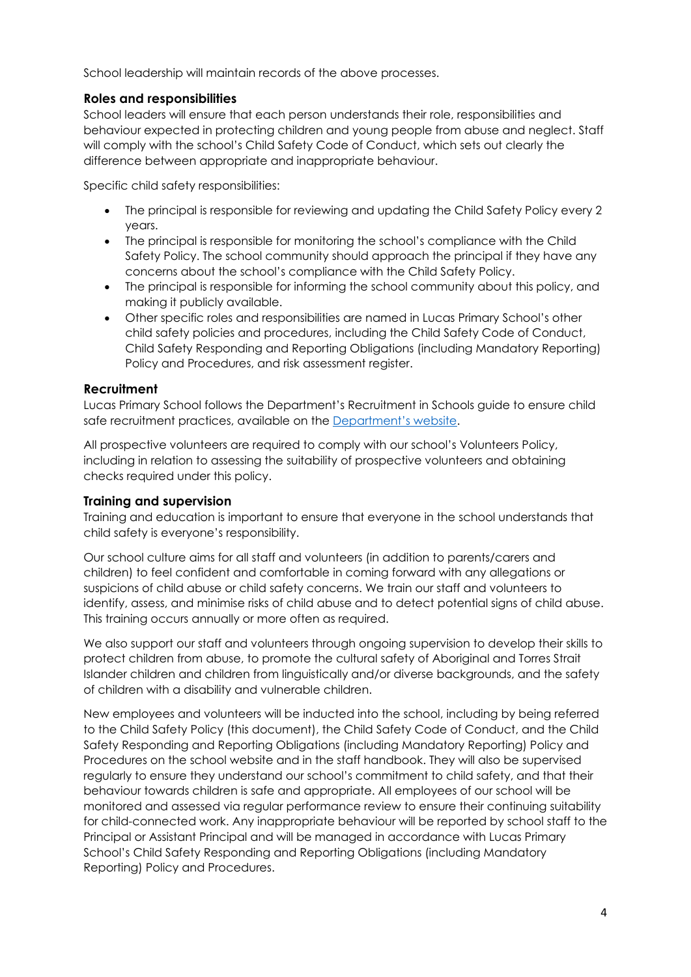School leadership will maintain records of the above processes.

# **Roles and responsibilities**

School leaders will ensure that each person understands their role, responsibilities and behaviour expected in protecting children and young people from abuse and neglect. Staff will comply with the school's Child Safety Code of Conduct, which sets out clearly the difference between appropriate and inappropriate behaviour.

Specific child safety responsibilities:

- The principal is responsible for reviewing and updating the Child Safety Policy every 2 years.
- The principal is responsible for monitoring the school's compliance with the Child Safety Policy. The school community should approach the principal if they have any concerns about the school's compliance with the Child Safety Policy.
- The principal is responsible for informing the school community about this policy, and making it publicly available.
- Other specific roles and responsibilities are named in Lucas Primary School's other child safety policies and procedures, including the Child Safety Code of Conduct, Child Safety Responding and Reporting Obligations (including Mandatory Reporting) Policy and Procedures, and risk assessment register.

# **Recruitment**

Lucas Primary School follows the Department's Recruitment in Schools guide to ensure child safe recruitment practices, available on the Department's website.

All prospective volunteers are required to comply with our school's Volunteers Policy, including in relation to assessing the suitability of prospective volunteers and obtaining checks required under this policy.

## **Training and supervision**

Training and education is important to ensure that everyone in the school understands that child safety is everyone's responsibility.

Our school culture aims for all staff and volunteers (in addition to parents/carers and children) to feel confident and comfortable in coming forward with any allegations or suspicions of child abuse or child safety concerns. We train our staff and volunteers to identify, assess, and minimise risks of child abuse and to detect potential signs of child abuse. This training occurs annually or more often as required.

We also support our staff and volunteers through ongoing supervision to develop their skills to protect children from abuse, to promote the cultural safety of Aboriginal and Torres Strait Islander children and children from linguistically and/or diverse backgrounds, and the safety of children with a disability and vulnerable children.

New employees and volunteers will be inducted into the school, including by being referred to the Child Safety Policy (this document), the Child Safety Code of Conduct, and the Child Safety Responding and Reporting Obligations (including Mandatory Reporting) Policy and Procedures on the school website and in the staff handbook. They will also be supervised regularly to ensure they understand our school's commitment to child safety, and that their behaviour towards children is safe and appropriate. All employees of our school will be monitored and assessed via regular performance review to ensure their continuing suitability for child-connected work. Any inappropriate behaviour will be reported by school staff to the Principal or Assistant Principal and will be managed in accordance with Lucas Primary School's Child Safety Responding and Reporting Obligations (including Mandatory Reporting) Policy and Procedures.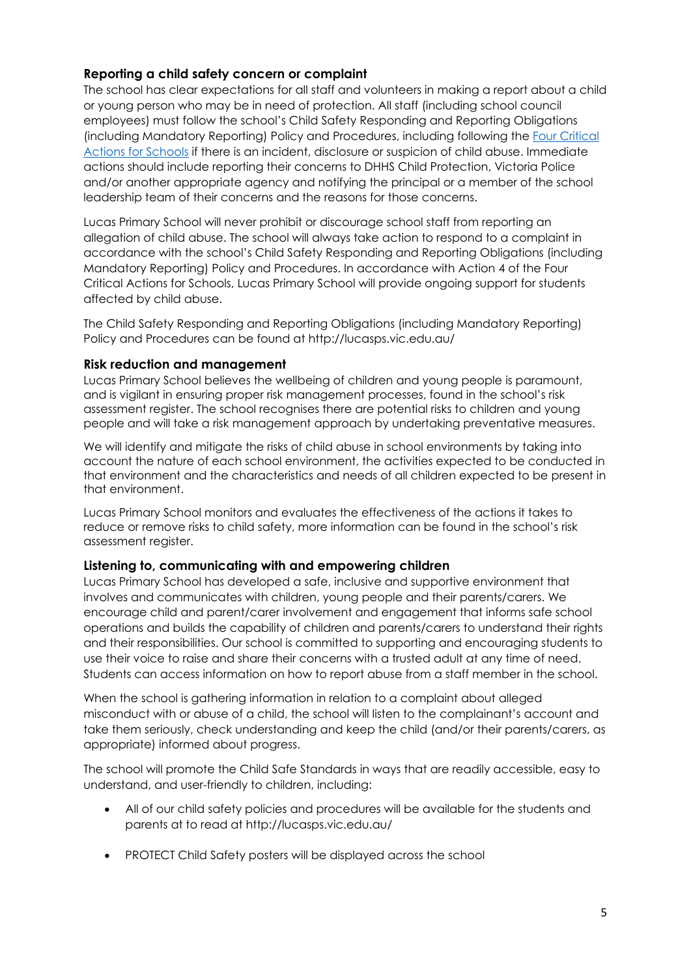# **Reporting a child safety concern or complaint**

The school has clear expectations for all staff and volunteers in making a report about a child or young person who may be in need of protection. All staff (including school council employees) must follow the school's Child Safety Responding and Reporting Obligations (including Mandatory Reporting) Policy and Procedures, including following the Four Critical Actions for Schools if there is an incident, disclosure or suspicion of child abuse. Immediate actions should include reporting their concerns to DHHS Child Protection, Victoria Police and/or another appropriate agency and notifying the principal or a member of the school leadership team of their concerns and the reasons for those concerns.

Lucas Primary School will never prohibit or discourage school staff from reporting an allegation of child abuse. The school will always take action to respond to a complaint in accordance with the school's Child Safety Responding and Reporting Obligations (including Mandatory Reporting) Policy and Procedures. In accordance with Action 4 of the Four Critical Actions for Schools, Lucas Primary School will provide ongoing support for students affected by child abuse.

The Child Safety Responding and Reporting Obligations (including Mandatory Reporting) Policy and Procedures can be found at http://lucasps.vic.edu.au/

#### **Risk reduction and management**

Lucas Primary School believes the wellbeing of children and young people is paramount, and is vigilant in ensuring proper risk management processes, found in the school's risk assessment register. The school recognises there are potential risks to children and young people and will take a risk management approach by undertaking preventative measures.

We will identify and mitigate the risks of child abuse in school environments by taking into account the nature of each school environment, the activities expected to be conducted in that environment and the characteristics and needs of all children expected to be present in that environment.

Lucas Primary School monitors and evaluates the effectiveness of the actions it takes to reduce or remove risks to child safety, more information can be found in the school's risk assessment register.

## **Listening to, communicating with and empowering children**

Lucas Primary School has developed a safe, inclusive and supportive environment that involves and communicates with children, young people and their parents/carers. We encourage child and parent/carer involvement and engagement that informs safe school operations and builds the capability of children and parents/carers to understand their rights and their responsibilities. Our school is committed to supporting and encouraging students to use their voice to raise and share their concerns with a trusted adult at any time of need. Students can access information on how to report abuse from a staff member in the school.

When the school is gathering information in relation to a complaint about alleged misconduct with or abuse of a child, the school will listen to the complainant's account and take them seriously, check understanding and keep the child (and/or their parents/carers, as appropriate) informed about progress.

The school will promote the Child Safe Standards in ways that are readily accessible, easy to understand, and user-friendly to children, including:

- All of our child safety policies and procedures will be available for the students and parents at to read at http://lucasps.vic.edu.au/
- PROTECT Child Safety posters will be displayed across the school